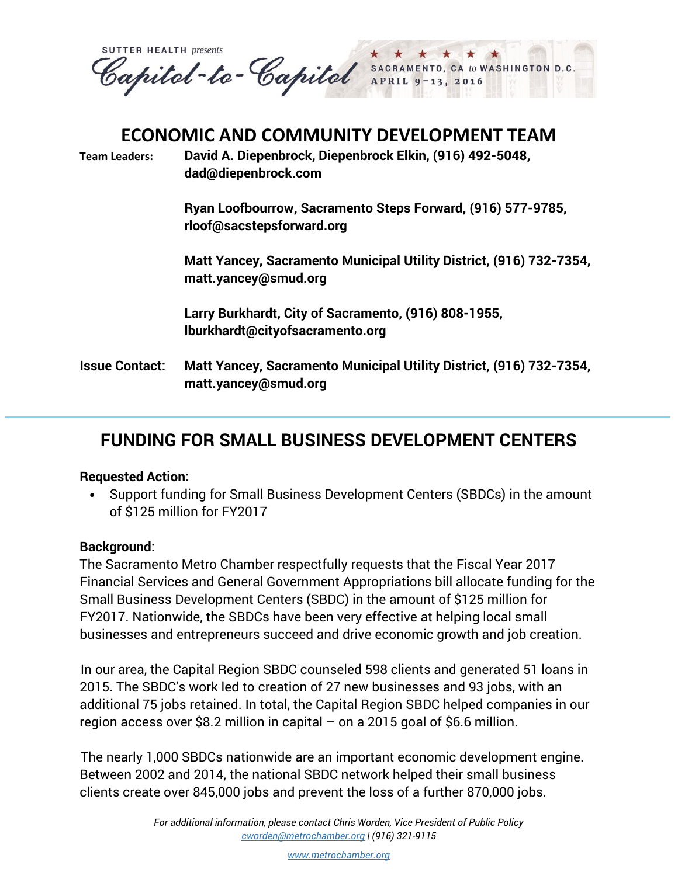**SUTTER HEALTH presents** Papitol-to-Capitol SACRAMENTO,<br>APRIL 9-13 CA to WASHINGTON D.C 13, 2016

## **ECONOMIC AND COMMUNITY DEVELOPMENT TEAM**

**Team Leaders: David A. Diepenbrock, Diepenbrock Elkin, (916) 492-5048, dad@diepenbrock.com** 

> **Ryan Loofbourrow, Sacramento Steps Forward, (916) 577-9785, [rloof@sacstepsforward.org](mailto:rloof@sacstepsforward.org)**

**Matt Yancey, Sacramento Municipal Utility District, (916) 732-7354, matt.yancey@smud.org**

**Larry Burkhardt, City of Sacramento, (916) 808-1955, lburkhardt@cityofsacramento.org**

**Issue Contact: Matt Yancey, Sacramento Municipal Utility District, (916) 732-7354, matt.yancey@smud.org**

## **FUNDING FOR SMALL BUSINESS DEVELOPMENT CENTERS**

## **Requested Action:**

 Support funding for Small Business Development Centers (SBDCs) in the amount of \$125 million for FY2017

## **Background:**

The Sacramento Metro Chamber respectfully requests that the Fiscal Year 2017 Financial Services and General Government Appropriations bill allocate funding for the Small Business Development Centers (SBDC) in the amount of \$125 million for FY2017. Nationwide, the SBDCs have been very effective at helping local small businesses and entrepreneurs succeed and drive economic growth and job creation.

In our area, the Capital Region SBDC counseled 598 clients and generated 51 loans in 2015. The SBDC's work led to creation of 27 new businesses and 93 jobs, with an additional 75 jobs retained. In total, the Capital Region SBDC helped companies in our region access over \$8.2 million in capital – on a 2015 goal of \$6.6 million.

The nearly 1,000 SBDCs nationwide are an important economic development engine. Between 2002 and 2014, the national SBDC network helped their small business clients create over 845,000 jobs and prevent the loss of a further 870,000 jobs.

> *For additional information, please contact Chris Worden, Vice President of Public Policy [cworden@metrochamber.org](mailto:cworden@metrochamber.org) | (916) 321-9115*